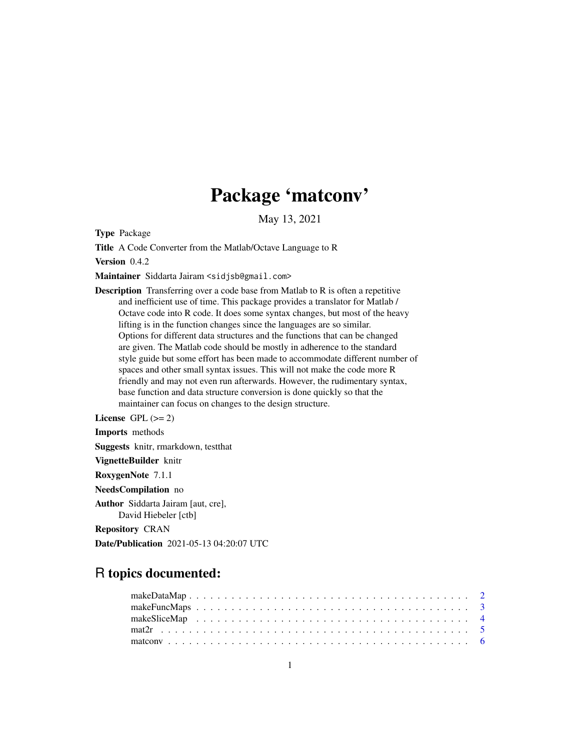# Package 'matconv'

May 13, 2021

Type Package

Title A Code Converter from the Matlab/Octave Language to R

Version 0.4.2

Maintainer Siddarta Jairam <sidjsb@gmail.com>

Description Transferring over a code base from Matlab to R is often a repetitive and inefficient use of time. This package provides a translator for Matlab / Octave code into R code. It does some syntax changes, but most of the heavy lifting is in the function changes since the languages are so similar. Options for different data structures and the functions that can be changed are given. The Matlab code should be mostly in adherence to the standard style guide but some effort has been made to accommodate different number of spaces and other small syntax issues. This will not make the code more R friendly and may not even run afterwards. However, the rudimentary syntax, base function and data structure conversion is done quickly so that the maintainer can focus on changes to the design structure.

License GPL  $(>= 2)$ 

Imports methods Suggests knitr, rmarkdown, testthat VignetteBuilder knitr RoxygenNote 7.1.1 NeedsCompilation no Author Siddarta Jairam [aut, cre], David Hiebeler [ctb] Repository CRAN

Date/Publication 2021-05-13 04:20:07 UTC

# R topics documented: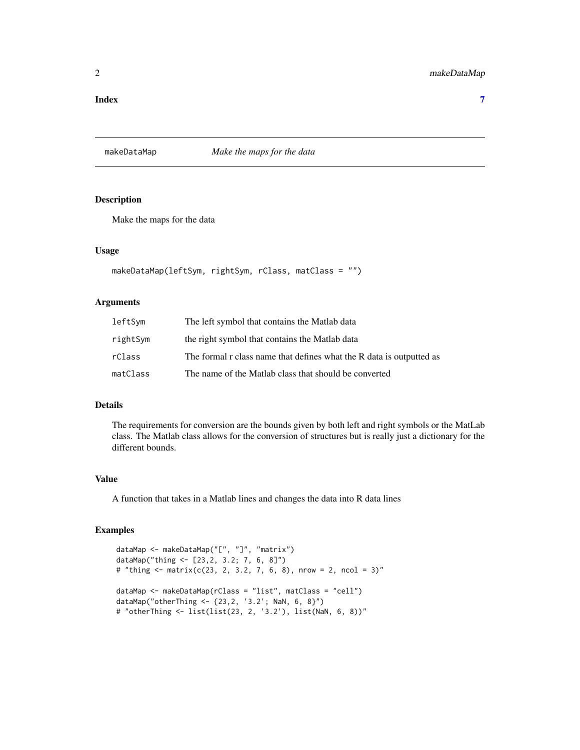#### <span id="page-1-0"></span>**Index** [7](#page-6-0) **7**

<span id="page-1-1"></span>makeDataMap *Make the maps for the data*

#### Description

Make the maps for the data

#### Usage

```
makeDataMap(leftSym, rightSym, rClass, matClass = "")
```
# Arguments

| leftSym  | The left symbol that contains the Matlab data                        |
|----------|----------------------------------------------------------------------|
| rightSym | the right symbol that contains the Matlab data                       |
| rClass   | The formal r class name that defines what the R data is outputted as |
| matClass | The name of the Matlab class that should be converted                |

#### Details

The requirements for conversion are the bounds given by both left and right symbols or the MatLab class. The Matlab class allows for the conversion of structures but is really just a dictionary for the different bounds.

# Value

A function that takes in a Matlab lines and changes the data into R data lines

```
dataMap <- makeDataMap("[", "]", "matrix")
dataMap("thing <- [23,2, 3.2; 7, 6, 8]")
# "thing <- matrix(c(23, 2, 3.2, 7, 6, 8), nrow = 2, ncol = 3)"
dataMap <- makeDataMap(rClass = "list", matClass = "cell")
dataMap("otherThing <- {23,2, '3.2'; NaN, 6, 8}")
# "otherThing <- list(list(23, 2, '3.2'), list(NaN, 6, 8))"
```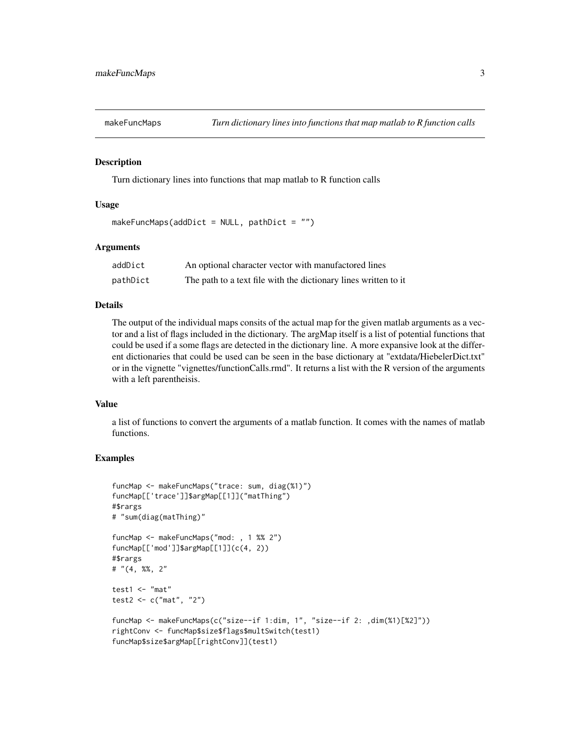<span id="page-2-1"></span><span id="page-2-0"></span>

#### Description

Turn dictionary lines into functions that map matlab to R function calls

#### Usage

```
makeFuncMaps(addDict = NULL, pathDict = ")
```
#### Arguments

| addDict  | An optional character vector with manufactored lines            |
|----------|-----------------------------------------------------------------|
| pathDict | The path to a text file with the dictionary lines written to it |

#### Details

The output of the individual maps consits of the actual map for the given matlab arguments as a vector and a list of flags included in the dictionary. The argMap itself is a list of potential functions that could be used if a some flags are detected in the dictionary line. A more expansive look at the different dictionaries that could be used can be seen in the base dictionary at "extdata/HiebelerDict.txt" or in the vignette "vignettes/functionCalls.rmd". It returns a list with the R version of the arguments with a left parentheisis.

#### Value

a list of functions to convert the arguments of a matlab function. It comes with the names of matlab functions.

```
funcMap <- makeFuncMaps("trace: sum, diag(%1)")
funcMap[['trace']]$argMap[[1]]("matThing")
#$rargs
# "sum(diag(matThing)"
funcMap <- makeFuncMaps("mod: , 1 %% 2")
funcMap[['mod']]$argMap[[1]](c(4, 2))
#$rargs
# "(4, %%, 2"
test1 < - "mat"
test2 <- c("mat", "2")
funcMap <- makeFuncMaps(c("size--if 1:dim, 1", "size--if 2: ,dim(%1)[%2]"))
rightConv <- funcMap$size$flags$multSwitch(test1)
funcMap$size$argMap[[rightConv]](test1)
```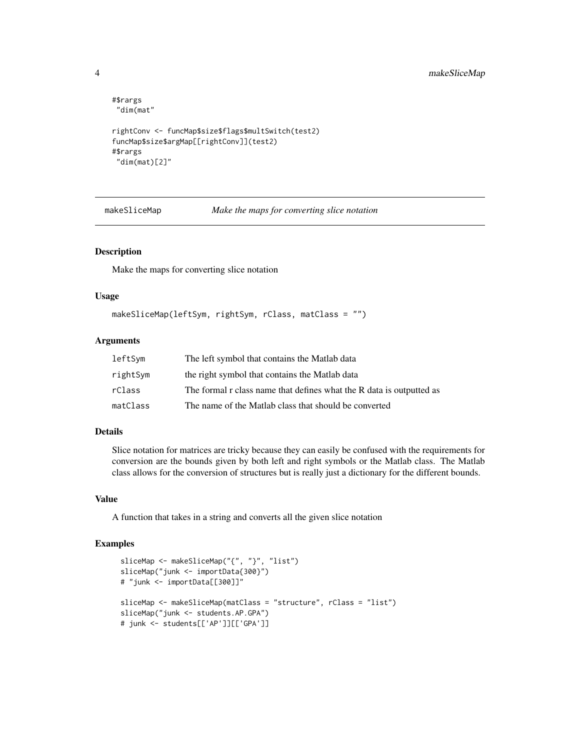```
#$rargs
"dim(mat"
rightConv <- funcMap$size$flags$multSwitch(test2)
funcMap$size$argMap[[rightConv]](test2)
#$rargs
"dim(mat)[2]"
```
<span id="page-3-1"></span>makeSliceMap *Make the maps for converting slice notation*

#### Description

Make the maps for converting slice notation

#### Usage

```
makeSliceMap(leftSym, rightSym, rClass, matClass = "")
```
#### Arguments

| leftSym  | The left symbol that contains the Matlab data                        |
|----------|----------------------------------------------------------------------|
| rightSym | the right symbol that contains the Matlab data                       |
| rClass   | The formal r class name that defines what the R data is outputted as |
| matClass | The name of the Matlab class that should be converted                |

#### Details

Slice notation for matrices are tricky because they can easily be confused with the requirements for conversion are the bounds given by both left and right symbols or the Matlab class. The Matlab class allows for the conversion of structures but is really just a dictionary for the different bounds.

#### Value

A function that takes in a string and converts all the given slice notation

```
sliceMap <- makeSliceMap("{", "}", "list")
sliceMap("junk <- importData{300}")
# "junk <- importData[[300]]"
sliceMap <- makeSliceMap(matClass = "structure", rClass = "list")
sliceMap("junk <- students.AP.GPA")
# junk <- students[['AP']][['GPA']]
```
<span id="page-3-0"></span>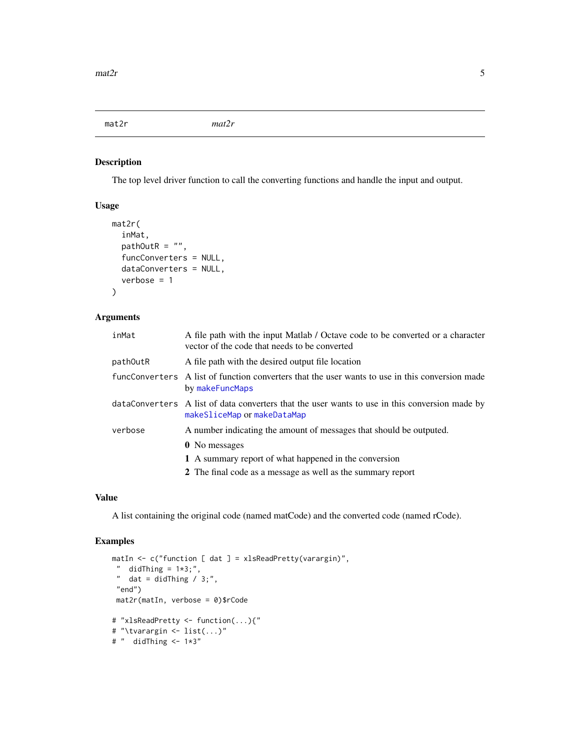<span id="page-4-0"></span>mat2r *mat2r*

# Description

The top level driver function to call the converting functions and handle the input and output.

# Usage

```
mat2r(
  inMat,
 pathOutR = "",funcConverters = NULL,
  dataConverters = NULL,
  verbose = 1
)
```
# Arguments

| inMat    | A file path with the input Matlab / Octave code to be converted or a character<br>vector of the code that needs to be converted |
|----------|---------------------------------------------------------------------------------------------------------------------------------|
| pathOutR | A file path with the desired output file location                                                                               |
|          | funcConverters A list of function converters that the user wants to use in this conversion made<br>by makeFuncMaps              |
|          | dataConverters A list of data converters that the user wants to use in this conversion made by<br>makeSliceMap or makeDataMap   |
| verbose  | A number indicating the amount of messages that should be outputed.                                                             |
|          | <b>0</b> No messages                                                                                                            |
|          | 1 A summary report of what happened in the conversion                                                                           |
|          | 2 The final code as a message as well as the summary report                                                                     |

#### Value

A list containing the original code (named matCode) and the converted code (named rCode).

```
matIn <- c("function [ dat ] = xlsReadPretty(varargin)",
" didThing = 1*3;",
 " dat = didThing / 3;",
 "end")
 mat2r(matIn, verbose = 0)$rCode
# "xlsReadPretty <- function(...){"
# "\tvarargin <- list(...)"
# " didThing \leq -1*3"
```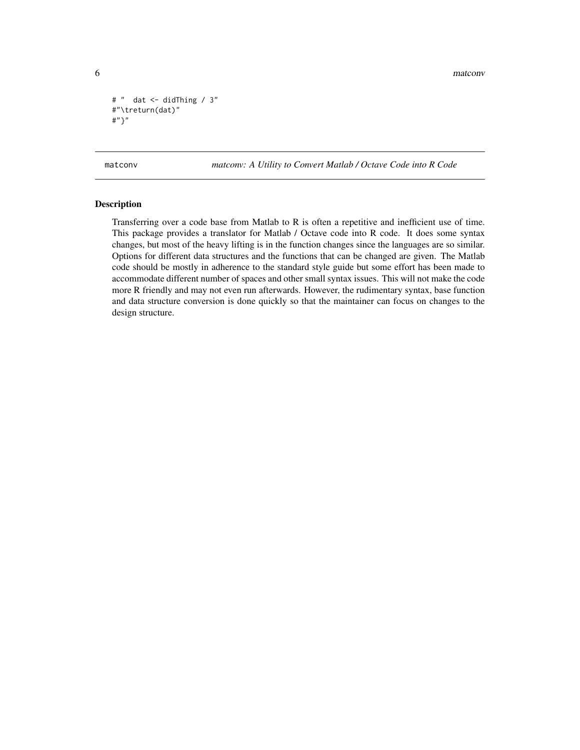```
# " dat <- didThing / 3"
#"\treturn(dat)"
#"}"
```
matconv *matconv: A Utility to Convert Matlab / Octave Code into R Code* 

#### Description

Transferring over a code base from Matlab to R is often a repetitive and inefficient use of time. This package provides a translator for Matlab / Octave code into R code. It does some syntax changes, but most of the heavy lifting is in the function changes since the languages are so similar. Options for different data structures and the functions that can be changed are given. The Matlab code should be mostly in adherence to the standard style guide but some effort has been made to accommodate different number of spaces and other small syntax issues. This will not make the code more R friendly and may not even run afterwards. However, the rudimentary syntax, base function and data structure conversion is done quickly so that the maintainer can focus on changes to the design structure.